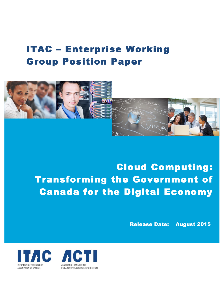# ITAC – Enterprise Working Group Position Paper



Cloud Computing: Transforming the Government of Canada for the Digital Economy

Release Date: August 2015



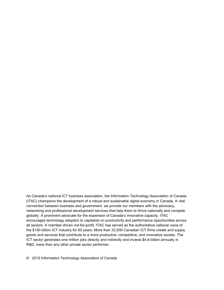As Canada's national ICT business association, the Information Technology Association of Canada (ITAC) champions the development of a robust and sustainable digital economy in Canada. A vital connection between business and government, we provide our members with the advocacy, networking and professional development services that help them to thrive nationally and compete globally. A prominent advocate for the expansion of Canada's innovative capacity, ITAC encourages technology adoption to capitalize on productivity and performance opportunities across all sectors. A member-driven not-for-profit, ITAC has served as the authoritative national voice of the \$150 billion ICT industry for 60 years. More than 33,500 Canadian ICT firms create and supply goods and services that contribute to a more productive, competitive, and innovative society. The ICT sector generates one million jobs directly and indirectly and invests \$4.8 billion annually in R&D, more than any other private sector performer.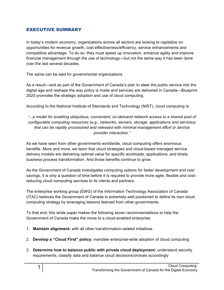#### EXECUTIVE SUMMARY

In today's modern economy, organizations across all sectors are looking to capitalize on opportunities for revenue growth, cost effectiveness/efficiency, service enhancements and competitive advantage. To do so, they must speed up innovation, enhance agility and improve financial management through the use of technology—but not the same way it has been done over the last several decades.

The same can be said for governmental organizations.

As a result—and as part of the Government of Canada's plan to steer the public service into the digital age and reshape the way policy is made and services are delivered in Canada—Blueprint 2020 promotes the strategic adoption and use of cloud computing.

According to the National Institute of Standards and Technology (NIST), cloud computing is:

*"...a model for enabling ubiquitous, convenient, on-demand network access to a shared pool of configurable computing resources (e.g., networks, servers, storage, applications and services) that can be rapidly provisioned and released with minimal management effort or service provider interaction."*

As we have seen from other governments worldwide, cloud computing offers enormous benefits. More and more, we learn that cloud strategies and cloud-based managed service delivery models are delivering optimal value for specific workloads, applications, and timely business process transformation. And those benefits continue to grow.

As the Government of Canada investigates computing options for faster development and cost savings, it is only a question of time before it is required to provide more agile, flexible and costreducing cloud computing services to its clients and partners.

The enterprise working group (EWG) of the Information Technology Association of Canada (ITAC) believes the Government of Canada is extremely well positioned to define its own cloud computing strategy by leveraging lessons learned from other governments.

To that end, this white paper makes the following seven recommendations to help the Government of Canada make the move to a cloud-enabled enterprise:

- 1. **Maintain alignment:** with all other transformation-related initiatives
- 2. **Develop a "Cloud First" policy:** mandate enterprise-wide adoption of cloud computing
- 3. **Determine how to balance public with private cloud deployment:** understand security requirements, classify data and balance cloud decisions/choices accordingly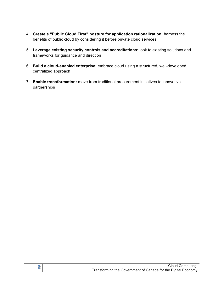- 4. **Create a "Public Cloud First" posture for application rationalization:** harness the benefits of public cloud by considering it before private cloud services
- 5. **Leverage existing security controls and accreditations:** look to existing solutions and frameworks for guidance and direction
- 6. **Build a cloud-enabled enterprise:** embrace cloud using a structured, well-developed, centralized approach
- 7. **Enable transformation:** move from traditional procurement initiatives to innovative partnerships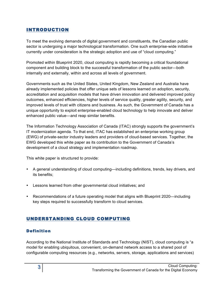# INTRODUCTION

To meet the evolving demands of digital government and constituents, the Canadian public sector is undergoing a major technological transformation. One such enterprise-wide initiative currently under consideration is the strategic adoption and use of "cloud computing."

Promoted within Blueprint 2020, cloud computing is rapidly becoming a critical foundational component and building block to the successful transformation of the public sector—both internally and externally, within and across all levels of government.

Governments such as the United States, United Kingdom, New Zealand and Australia have already implemented policies that offer unique sets of lessons learned on adoption, security, accreditation and acquisition models that have driven innovation and delivered improved policy outcomes, enhanced efficiencies, higher levels of service quality, greater agility, security, and improved levels of trust with citizens and business. As such, the Government of Canada has a unique opportunity to exploit enterprise-enabled cloud technology to help innovate and deliver enhanced public value—and reap similar benefits.

The Information Technology Association of Canada (ITAC) strongly supports the government's IT modernization agenda. To that end, ITAC has established an enterprise working group (EWG) of private-sector industry leaders and providers of cloud-based services. Together, the EWG developed this white paper as its contribution to the Government of Canada's development of a cloud strategy and implementation roadmap.

This white paper is structured to provide:

- A general understanding of cloud computing—including definitions, trends, key drivers, and its benefits;
- Lessons learned from other governmental cloud initiatives; and
- Recommendations of a future operating model that aligns with Blueprint 2020—including key steps required to successfully transform to cloud services.

# UNDERSTANDING CLOUD COMPUTING

## Definition

According to the National Institute of Standards and Technology (NIST), cloud computing is "a model for enabling ubiquitous, convenient, on-demand network access to a shared pool of configurable computing resources (e.g., networks, servers, storage, applications and services)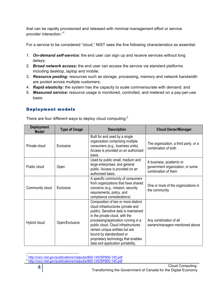that can be rapidly provisioned and released with minimal management effort or service provider interaction."<sup>1</sup>

For a service to be considered "cloud," NIST sees the five following characteristics as essential:

- 1. *On-demand self-service:* the end user can sign up and receive services without long delays;
- 2. *Broad network access:* the end user can access the service via standard platforms including desktop, laptop and mobile;
- 3. *Resource pooling:* resources such as storage, processing, memory and network bandwidth are pooled across multiple customers;
- 4. *Rapid elasticity:* the system has the capacity to scale commensurate with demand; and
- 5. *Measured service:* resource usage is monitored, controlled, and metered on a pay-per-use basis.

#### Deployment models

There are four different ways to deploy cloud computing:<sup>2</sup>

| <b>Deployment</b><br><b>Model</b> | <b>Type of Usage</b> | <b>Description</b>                                                                                                                                                                                                                                                                                                                                                           | <b>Cloud Owner/Manager</b>                                                         |
|-----------------------------------|----------------------|------------------------------------------------------------------------------------------------------------------------------------------------------------------------------------------------------------------------------------------------------------------------------------------------------------------------------------------------------------------------------|------------------------------------------------------------------------------------|
| Private cloud                     | Exclusive            | Built for and used by a single<br>organization comprising multiple<br>consumers (e.g., business units).<br>Access is provided on an authorized<br>basis.                                                                                                                                                                                                                     | The organization, a third party, or a<br>combination of both                       |
| Public cloud                      | Open                 | Used by public small, medium and<br>large enterprises; and general<br>public. Access is provided on an<br>authorized basis.                                                                                                                                                                                                                                                  | A business, academic or<br>government organization, or some<br>combination of them |
| Community cloud                   | Exclusive            | A specific community of consumers<br>from organizations that have shared<br>concerns (e.g., mission, security<br>requirements, policy, and<br>compliance considerations)                                                                                                                                                                                                     | One or more of the organizations in<br>the community                               |
| Hybrid cloud                      | Open/Exclusive       | Composition of two or more distinct<br>cloud infrastructures (private and<br>public). Sensitive data is maintained<br>in the private cloud, with the<br>processing/application running in a<br>public cloud. Cloud infrastructures<br>remain unique entities but are<br>bound by standardized or<br>proprietary technology that enables<br>data and application portability. | Any combination of all<br>owners/managers mentioned above                          |

<sup>1</sup> http://csrc.nist.gov/publications/nistpubs/800-145/SP800-145.pdf<br>2 http://csrc.nist.gov/publications/nistpubs/800-145/SP800-145.pdf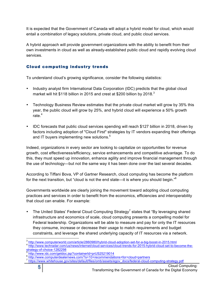It is expected that the Government of Canada will adopt a hybrid model for cloud, which would entail a combination of legacy solutions, private cloud, and public cloud services.

A hybrid approach will provide government organizations with the ability to benefit from their own investments in cloud as well as already-established public cloud and rapidly evolving cloud services.

#### Cloud computing industry trends

To understand cloud's growing significance, consider the following statistics:

- Industry analyst firm International Data Corporation (IDC) predicts that the global cloud market will hit \$118 billion in 2015 and crest at \$200 billion by 2018. $3$
- Technology Business Review estimates that the private cloud market will grow by 35% this year, the public cloud will grow by 25%, and hybrid cloud will experience a 50% growth rate.<sup>4</sup>
- IDC forecasts that public cloud services spending will reach \$127 billion in 2018, driven by factors including adoption of "Cloud First" strategies by IT vendors expanding their offerings and IT buyers implementing new solutions.<sup>5</sup>

Indeed, organizations in every sector are looking to capitalize on opportunities for revenue growth, cost effectiveness/efficiency, service enhancements and competitive advantage. To do this, they must speed up innovation, enhance agility and improve financial management through the use of technology—but not the same way it has been done over the last several decades.

According to Tiffani Bova, VP of Gartner Research, cloud computing has become the platform for the next transition, but "cloud is not the end state—it is where you should begin."<sup>6</sup>

Governments worldwide are clearly joining the movement toward adopting cloud computing practices and services in order to benefit from the economics, efficiencies and interoperability that cloud can enable. For example:

The United States' Federal Cloud Computing Strategy<sup>7</sup> states that "By leveraging shared infrastructure and economics of scale, cloud computing presents a compelling model for Federal leadership. Organizations will be able to measure and pay for only the IT resources they consume, increase or decrease their usage to match requirements and budget constraints, and leverage the shared underlying capacity of IT resources via a network.

 $\frac{3}{4}$  http://www.computerworld.com/article/2860980/hybrid-cloud-adoption-set-for-a-big-boost-in-2015.html  $\frac{4}{1}$  http://www.techradar.com/us/news/internet/cloud-services/cloud-trends-for-2015-hybrid-cloud-set-to-be

<sup>&</sup>lt;sup>5</sup> http://www.idc.com/getdoc.jsp?containerId=prUS25219014<br><sup>6</sup> http://www.computerdealernews.com/?s=10+recommendations+for+cloud+partners<br><sup>7</sup> https://www.whitehouse.gov/sites/default/files/omb/assets/egov\_docs/federal-clou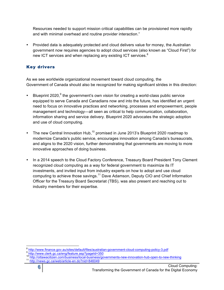Resources needed to support mission critical capabilities can be provisioned more rapidly and with minimal overhead and routine provider interaction."

• Provided data is adequately protected and cloud delivers value for money, the Australian government now requires agencies to adopt cloud services (also known as "Cloud First") for new ICT services and when replacing any existing ICT services. $8$ 

#### Key drivers

As we see worldwide organizational movement toward cloud computing, the Government of Canada should also be recognized for making significant strides in this direction:

- Blueprint 2020,<sup>9</sup> the government's own vision for creating a world-class public service equipped to serve Canada and Canadians now and into the future, has identified an urgent need to focus on innovative practices and networking, processes and empowerment, people management and technology—all seen as critical to help communication, collaboration, information sharing and service delivery. Blueprint 2020 advocates the strategic adoption and use of cloud computing.
- The new Central Innovation Hub,<sup>10</sup> promised in June 2013's Blueprint 2020 roadmap to modernize Canada's public service, encourages innovation among Canada's bureaucrats, and aligns to the 2020 vision, further demonstrating that governments are moving to more innovative approaches of doing business.
- In a 2014 speech to the Cloud Factory Conference, Treasury Board President Tony Clement recognized cloud computing as a way for federal government to maximize its IT investments, and invited input from industry experts on how to adopt and use cloud computing to achieve those savings.<sup>11</sup> Dave Adamson, Deputy CIO and Chief Information Officer for the Treasury Board Secretariat (TBS), was also present and reaching out to industry members for their expertise.

 $^8$  http://www.finance.gov.au/sites/default/files/australian-government-cloud-computing-policy-3.pdf<br>  $^{9}$  http://www.clerk.gc.ca/eng/feature.asp?pageId=350<br>  $^{10}$  http://ottawacitizen.com/business/local-business/gover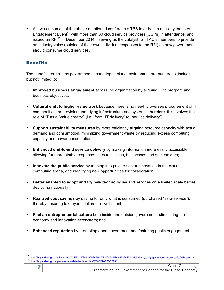• As two outcomes of the above-mentioned conference: TBS later held a one-day Industry Engagement Event<sup>12</sup> with more than 80 cloud service providers (CSPs) in attendance; and issued an RF $1^{13}$  in December 2014—serving as the catalyst for ITAC's members to provide an industry voice (outside of their own individual responses to the RFI) on how government should consume cloud services.

#### **Benefits**

The benefits realized by governments that adopt a cloud environment are numerous, including but not limited to:

- **Improved business engagement** across the organization by aligning IT to program and business objectives;
- **Cultural shift to higher value work** because there is no need to oversee procurement of IT commodities, or provision underlying infrastructure and systems; therefore, this evolves the role of IT as a "value creator" (i.e., from "IT delivery" to "service delivery");
- **Support sustainability measures** by more efficiently aligning resource capacity with actual demand and consumption, minimizing government waste by reducing excess computing capacity and power consumption;
- **Enhanced end-to-end service delivery** by making information more easily accessible, allowing for more nimble response times to citizens, businesses and stakeholders;
- **Innovate the public service** by tapping into private-sector innovation in the cloud computing arena, and identifying new opportunities for collaboration;
- **Better enabled to adopt and try new technologies** and services on a limited scale before deploying nationally;
- **Realized cost savings** by paying for only what is consumed (purchased "as-a-service"), thereby ensuring taxpayers' dollars are well spent;
- **Fuel an entrepreneurial culture** both inside and outside government, stimulating the economy and innovation ecosystem; and
- **Enhanced reputation** by promoting open government and fostering public engagement.

<sup>12</sup> https://buyandsell.gc.ca/cds/public/2014/11/26/284436b3876cd7214085e66ba827c9d4/cloud\_industry\_engagement\_event\_nov\_13\_2014\_en.pdf<br>13 https://buyandsell.gc.ca/procurement-data/tender-notice/PW-EEM-033-28881 [20]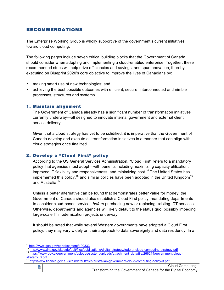# RECOMMENDATIONS

The Enterprise Working Group is wholly supportive of the government's current initiatives toward cloud computing.

The following pages include seven critical building blocks that the Government of Canada should consider when adopting and implementing a cloud-enabled enterprise. Together, these recommended steps will help drive efficiencies and savings, and spur innovation, thereby executing on Blueprint 2020's core objective to improve the lives of Canadians by:

- making smart use of new technologies; and
- achieving the best possible outcomes with efficient, secure, interconnected and nimble processes, structures and systems.

#### 1. Maintain alignment

The Government of Canada already has a significant number of transformation initiatives currently underway—all designed to innovate internal government and external client service delivery.

Given that a cloud strategy has yet to be solidified, it is imperative that the Government of Canada develop and execute all transformation initiatives in a manner that can align with cloud strategies once finalized.

#### 2. Develop a "Cloud First" policy

According to the US General Services Administration, "Cloud First" refers to a mandatory policy that agencies must adopt—with benefits including maximizing capacity utilization, improved IT flexibility and responsiveness, and minimizing cost.<sup>14</sup> The United States has implemented this policy,<sup>15</sup> and similar policies have been adopted in the United Kingdom<sup>16</sup> and Australia.<sup>17</sup>

Unless a better alternative can be found that demonstrates better value for money, the Government of Canada should also establish a Cloud First policy, mandating departments to consider cloud-based services *before* purchasing new or replacing existing ICT services. Otherwise, departments and agencies will likely default to the status quo, possibly impeding large-scale IT modernization projects underway.

It should be noted that while several Western governments have adopted a Cloud First policy, they may vary widely on their approach to data sovereignty and data residency. In a

<sup>&</sup>lt;sup>14</sup> http://www.gsa.gov/portal/content/190333<br><sup>15</sup> http://www.dhs.gov/sites/default/files/publications/digital-strategy/federal-cloud-computing-strategy.pdf<br><sup>16</sup> https://www.gov.uk/government/uploads/syst<u>em/uploads/attach</u>

strategy\_0.pdf

<sup>&</sup>lt;sup>17</sup> http://www.finance.gov.au/sites/default/files/australian-government-cloud-computing-policy-3.pdf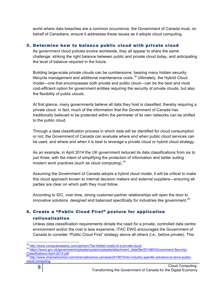world where data breaches are a common occurrence, the Government of Canada must, on behalf of Canadians, ensure it addresses these issues as it adopts cloud computing.

#### 3. Determine how to balance public cloud with private cloud

As government cloud policies evolve worldwide, they all appear to share the same challenge: striking the right balance between public and private cloud today, and anticipating the level of balance required in the future.

Building large-scale private clouds can be cumbersome, bearing many hidden security, lifecycle management and additional maintenance costs.<sup>18</sup> Ultimately, the Hybrid Cloud model—one that encompasses both private and public cloud—can be the best and most cost-efficient option for government entities requiring the security of private clouds, but also the flexibility of public clouds.

At first glance, many governments believe all data they host is classified, thereby requiring a private cloud. In fact, much of the information that the Government of Canada has traditionally believed to be protected within the perimeter of its own networks can be shifted to the public cloud.

Through a data classification process in which data will be identified for cloud consumption or not, the Government of Canada can evaluate where and when public cloud services can be used, and where and when it is best to leverage a private cloud or hybrid cloud strategy.

As an example, in April 2014 the UK government reduced its data classifications from six to just three, with the intent of simplifying the protection of information and better suiting modern work practices (such as cloud computing).<sup>19</sup>

Assuming the Government of Canada adopts a hybrid cloud model, it will be critical to make this cloud approach known to internal decision makers and external suppliers—ensuring all parties are clear on which path they must follow.

According to IDC, over time, strong customer-partner relationships will open the door to innovative solutions, designed and balanced specifically for industries like government.<sup>20</sup>

# 4. Create a "Public Cloud First" posture for application

#### rationalization

Unless data classification requirements dictate the need for a private, controlled data centre environment and/or the cost is less expensive, ITAC EWG encourages the Government of Canada to consider "Public Cloud First" strategy above all others (i.e., before private). This

<sup>&</sup>lt;sup>18</sup> http://www.computerweekly.com/opinion/The-hidden-costs-of-a-private-cloud<br>
19 https://www.gov.uk/government/uploads/system/uploads/attachment\_data/file/251480/Government-Security-<br>
Classifications-April-2014.pdf<br>
<sup>20</sup>

http://www.channelnomics.com/channelnomics-us/news/2419075/idc-industry-specific-solutions-to-drive-publiccloud-computing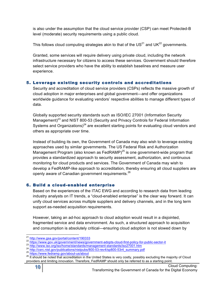is also under the assumption that the cloud service provider (CSP) can meet Protected-B level (moderate) security requirements using a public cloud.

This follows cloud computing strategies akin to that of the  $US^{21}$  and UK<sup>22</sup> governments.

Granted, some services will require delivery using private cloud, including the network infrastructure necessary for citizens to access these services. Government should therefore select service providers who have the ability to establish baselines and measure user experience.

# 5. Leverage existing security controls and accreditations

Security and accreditation of cloud service providers (CSPs) reflects the massive growth of cloud adoption in major enterprises and global government—and offer organizations worldwide guidance for evaluating vendors' respective abilities to manage different types of data.

Globally supported security standards such as ISO/IEC 27001 (Information Security Management)<sup>23</sup> and NIST 800-53 (Security and Privacy Controls for Federal Information Systems and Organizations) $^{24}$  are excellent starting points for evaluating cloud vendors and others as appropriate over time.

Instead of building its own, the Government of Canada may also wish to leverage existing approaches used by similar governments. The US Federal Risk and Authorization Management Program (also known as FedRAMP)<sup>25</sup> is one government-wide program that provides a standardized approach to security assessment, authorization, and continuous monitoring for cloud products and services. The Government of Canada may wish to develop a FedRAMP-like approach to accreditation, thereby ensuring all cloud suppliers are openly aware of Canadian government requirements.<sup>26</sup>

# 6. Build a cloud-enabled enterprise

Based on the experiences of the ITAC EWG and according to research data from leading industry analysts on IT trends, a "cloud-enabled enterprise" is the clear way forward. It can unify cloud services across multiple suppliers and delivery channels, and in the long term support as-needed acquisition requirements.

However, taking an ad-hoc approach to cloud adoption would result in a disjointed, fragmented service and data environment. As such, a structured approach to acquisition and consumption is absolutely critical—ensuring cloud adoption is not slowed down by

 $\begin{array}{l} \text{21} \text{$ providers and limiting innovation. Therefore, FedRAMP should only be referred to as a starting point.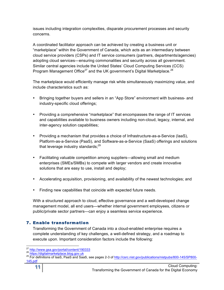issues including integration complexities, disparate procurement processes and security concerns.

A coordinated facilitator approach can be achieved by creating a business unit or "marketplace" within the Government of Canada, which acts as an intermediary between cloud service providers (CSPs) and IT service consumers (partners, departments/agencies) adopting cloud services—ensuring commonalities and security across all government. Similar central agencies include the United States' Cloud Computing Services (CCS) Program Management Office<sup>27</sup> and the UK government's Digital Marketplace.<sup>28</sup>

The marketplace would efficiently manage risk while simultaneously maximizing value, and include characteristics such as:

- Bringing together buyers and sellers in an "App Store" environment with business- and industry-specific cloud offerings;
- Providing a comprehensive "marketplace" that encompasses the range of IT services and capabilities available to business owners including non-cloud, legacy, internal, and inter-agency solution capabilities;
- Providing a mechanism that provides a choice of Infrastructure-as-a-Service (IaaS), Platform-as-a-Service (PaaS), and Software-as-a-Service (SaaS) offerings and solutions that leverage industry standards; $^{29}$
- Facilitating valuable competition among suppliers—allowing small and medium enterprises (SMEs/SMBs) to compete with larger vendors and create innovative solutions that are easy to use, install and deploy;
- Accelerating acquisition, provisioning, and availability of the newest technologies; and
- Finding new capabilities that coincide with expected future needs.

With a structured approach to cloud, effective governance and a well-developed change management model, all end users—whether internal government employees, citizens or public/private sector partners—can enjoy a seamless service experience.

## 7. Enable transformation

Transforming the Government of Canada into a cloud-enabled enterprise requires a complete understanding of key challenges, a well-defined strategy, and a roadmap to execute upon. Important consideration factors include the following:

<sup>&</sup>lt;sup>27</sup> http://www.gsa.gov/portal/content/190333<br><sup>28</sup> https://digitalmarketplace.blog.gov.uk<br><sup>29</sup> For definitions of IaaS, PaaS and SaaS, see pages 2-3 of <u>http://csrc.nist.gov/publications/nistpubs/800-145/SP800-</u> 145.pdf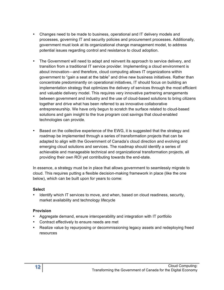- Changes need to be made to business, operational and IT delivery models and processes, governing IT and security policies and procurement processes. Additionally, government must look at its organizational change management model, to address potential issues regarding control and resistance to cloud adoption.
- The Government will need to adapt and reinvent its approach to service delivery, and transition from a traditional IT service provider. Implementing a cloud environment is about innovation—and therefore, cloud computing allows IT organizations within government to "gain a seat at the table" and drive new business initiatives. Rather than concentrate predominantly on operational initiatives, IT should focus on building an implementation strategy that optimizes the delivery of services through the most efficient and valuable delivery model. This requires very innovative partnering arrangements between government and industry and the use of cloud-based solutions to bring citizens together and drive what has been referred to as innovative collaborative entrepreneurship. We have only begun to scratch the surface related to cloud-based solutions and gain insight to the true program cost savings that cloud-enabled technologies can provide.
- Based on the collective experience of the EWG, it is suggested that the strategy and roadmap be implemented through a series of transformation projects that can be adapted to align with the Government of Canada's cloud direction and evolving and emerging cloud solutions and services. The roadmap should identify a series of achievable and manageable technical and organizational transformation projects, all providing their own ROI yet contributing towards the end-state.

In essence, a strategy must be in place that allows government to seamlessly migrate to cloud. This requires putting a flexible decision-making framework in place (like the one below), which can be built upon for years to come:

#### **Select**

• Identify which IT services to move, and when, based on cloud readiness, security, market availability and technology lifecycle

#### **Provision**

- Aggregate demand, ensure interoperability and integration with IT portfolio
- Contract effectively to ensure needs are met
- Realize value by repurposing or decommissioning legacy assets and redeploying freed resources